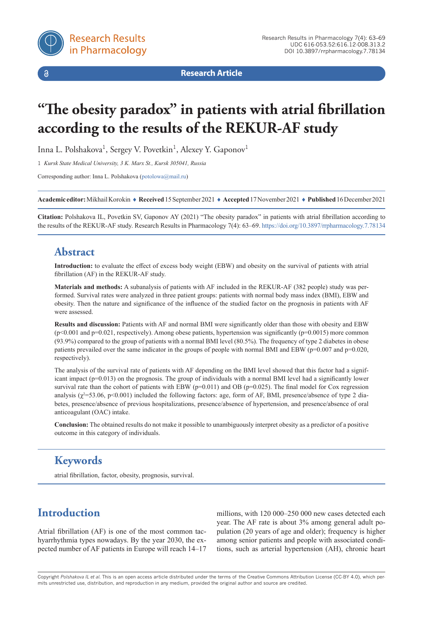

 $\delta$ 

**Research Article**

# **"The obesity paradox" in patients with atrial fibrillation according to the results of the REKUR-AF study**

Inna L. Polshakova<sup>1</sup>, Sergey V. Povetkin<sup>1</sup>, Alexey Y. Gaponov<sup>1</sup>

1 *Kursk State Medical University, 3 K. Marx St., Kursk 305041, Russia*

Corresponding author: Inna L. Polshakova ([potolowa@mail.ru\)](mailto:potolowa%40mail.ru?subject=)

**Academic editor:** Mikhail Korokin ♦ **Received** 15 September 2021 ♦ **Accepted** 17 November 2021 ♦ **Published** 16 December 2021

**Citation:** Polshakova IL, Povetkin SV, Gaponov AY (2021) "The obesity paradox" in patients with atrial fibrillation according to the results of the REKUR-AF study. Research Results in Pharmacology 7(4): 63–69.<https://doi.org/10.3897/rrpharmacology.7.78134>

#### **Abstract**

**Introduction:** to evaluate the effect of excess body weight (EBW) and obesity on the survival of patients with atrial fibrillation (AF) in the REKUR-AF study.

**Materials and methods:** A subanalysis of patients with AF included in the REKUR-AF (382 people) study was performed. Survival rates were analyzed in three patient groups: patients with normal body mass index (BMI), EBW and obesity. Then the nature and significance of the influence of the studied factor on the prognosis in patients with AF were assessed.

**Results and discussion:** Patients with AF and normal BMI were significantly older than those with obesity and EBW  $(p<0.001$  and  $p=0.021$ , respectively). Among obese patients, hypertension was significantly  $(p=0.0015)$  more common (93.9%) compared to the group of patients with a normal BMI level (80.5%). The frequency of type 2 diabetes in obese patients prevailed over the same indicator in the groups of people with normal BMI and EBW (p=0.007 and p=0.020, respectively).

The analysis of the survival rate of patients with AF depending on the BMI level showed that this factor had a significant impact (p=0.013) on the prognosis. The group of individuals with a normal BMI level had a significantly lower survival rate than the cohort of patients with EBW ( $p=0.011$ ) and OB ( $p=0.025$ ). The final model for Cox regression analysis ( $\chi^2$ =53.06, p<0.001) included the following factors: age, form of AF, BMI, presence/absence of type 2 diabetes, presence/absence of previous hospitalizations, presence/absence of hypertension, and presence/absence of oral anticoagulant (OAC) intake.

**Conclusion:** The obtained results do not make it possible to unambiguously interpret obesity as a predictor of a positive outcome in this category of individuals.

# **Keywords**

atrial fibrillation, factor, obesity, prognosis, survival.

# **Introduction**

Atrial fibrillation (AF) is one of the most common tachyarrhythmia types nowadays. By the year 2030, the expected number of AF patients in Europe will reach 14–17

millions, with 120 000–250 000 new cases detected each year. The AF rate is about 3% among general adult population (20 years of age and older); frequency is higher among senior patients and people with associated conditions, such as arterial hypertension (AH), chronic heart

Copyright *Polshakova IL et al.* This is an open access article distributed under the terms of the Creative Commons Attribution License (CC-BY 4.0), which permits unrestricted use, distribution, and reproduction in any medium, provided the original author and source are credited.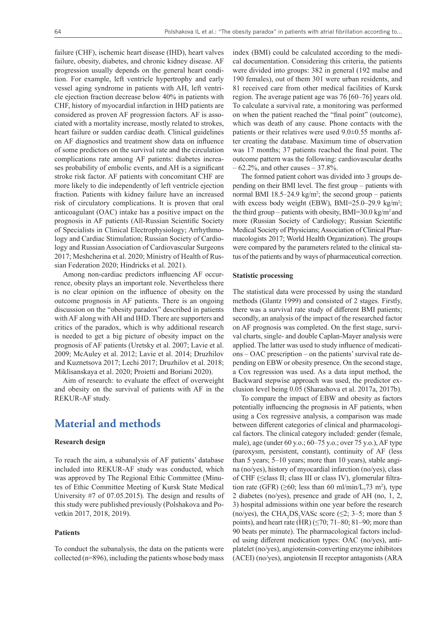failure (CHF), ischemic heart disease (IHD), heart valves failure, obesity, diabetes, and chronic kidney disease. AF progression usually depends on the general heart condition. For example, left ventricle hypertrophy and early vessel aging syndrome in patients with AH, left ventricle ejection fraction decrease below 40% in patients with CHF, history of myocardial infarction in IHD patients are considered as proven AF progression factors. AF is associated with a mortality increase, mostly related to strokes, heart failure or sudden cardiac death. Clinical guidelines on AF diagnostics and treatment show data on influence of some predictors on the survival rate and the circulation complications rate among AF patients: diabetes increases probability of embolic events, and AH is a significant stroke risk factor. AF patients with concomitant CHF are more likely to die independently of left ventricle ejection fraction. Patients with kidney failure have an increased risk of circulatory complications. It is proven that oral anticoagulant (OAC) intake has a positive impact on the prognosis in AF patients (All-Russian Scientific Society of Specialists in Clinical Electrophysiology; Arrhythmology and Cardiac Stimulation; Russian Society of Cardiology and Russian Association of Cardiovascular Surgeons 2017; Meshcherina et al. 2020; Ministry of Health of Russian Federation 2020; Hindricks et al. 2021).

Among non-cardiac predictors influencing AF occurrence, obesity plays an important role. Nevertheless there is no clear opinion on the influence of obesity on the outcome prognosis in AF patients. There is an ongoing discussion on the "obesity paradox" described in patients with AF along with AH and IHD. There are supporters and critics of the paradox, which is why additional research is needed to get a big picture of obesity impact on the prognosis of AF patients (Uretsky et al. 2007; Lavie et al. 2009; McAuley et al. 2012; Lavie et al. 2014; Druzhilov and Kuznetsova 2017; Lechi 2017; Druzhilov et al. 2018; Miklisanskaya et al. 2020; Proietti and Boriani 2020).

Aim of research: to evaluate the effect of overweight and obesity on the survival of patients with AF in the REKUR-AF study.

#### **Material and methods**

#### **Research design**

To reach the aim, a subanalysis of AF patients' database included into REKUR-AF study was conducted, which was approved by The Regional Ethic Committee (Minutes of Ethic Committee Meeting of Kursk State Medical University #7 of 07.05.2015). The design and results of this study were published previously (Polshakova and Povetkin 2017, 2018, 2019).

#### **Patients**

To conduct the subanalysis, the data on the patients were collected  $(n=896)$ , including the patients whose body mass

index (BMI) could be calculated according to the medical documentation. Considering this criteria, the patients were divided into groups: 382 in general (192 malse and 190 females), out of them 301 were urban residents, and 81 received care from other medical facilities of Kursk region. The average patient age was 76 [60–76] years old. To calculate a survival rate, a monitoring was performed on when the patient reached the "final point" (outcome), which was death of any cause. Phone contacts with the patients or their relatives were used 9.0±0.55 months after creating the database. Maximum time of observation was 17 months; 37 patients reached the final point. The outcome pattern was the following: cardiovascular deaths  $-62.2\%$ , and other causes  $-37.8\%$ .

The formed patient cohort was divided into 3 groups depending on their BMI level. The first group – patients with normal BMI 18.5–24.9 kg/m<sup>2</sup>; the second group – patients with excess body weight (EBW), BMI=25.0-29.9 kg/m<sup>2</sup>; the third group – patients with obesity, BMI=30.0 kg/m<sup>2</sup> and more (Russian Society of Cardiology; Russian Scientific Medical Society of Physicians; Association of Clinical Pharmacologists 2017; World Health Organization). The groups were compared by the parameters related to the clinical status of the patients and by ways of pharmaceutical correction.

#### **Statistic processing**

The statistical data were processed by using the standard methods (Glantz 1999) and consisted of 2 stages. Firstly, there was a survival rate study of different BMI patients; secondly, an analysis of the impact of the researched factor on AF prognosis was completed. On the first stage, survival charts, single- and double Caplan-Mayer analysis were applied. The latter was used to study influence of medications – OAC prescription – on the patients' survival rate depending on EBW or obesity presence. On the second stage, a Cox regression was used. As a data input method, the Backward stepwise approach was used, the predictor exclusion level being 0.05 (Sharashova et al. 2017a, 2017b).

To compare the impact of EBW and obesity as factors potentially influencing the prognosis in AF patients, when using a Cox regressive analysis, a comparison was made between different categories of clinical and pharmacological factors. The clinical category included: gender (female, male), age (under 60 y.o.; 60–75 y.o.; over 75 y.o.), AF type (paroxysm, persistent, constant), continuity of AF (less than 5 years; 5–10 years; more than 10 years), stable angina (no/yes), history of myocardial infarction (no/yes), class of CHF (≤class II; class III or class IV), glomerular filtration rate (GFR)  $(\geq 60; \text{ less than } 60 \text{ ml/min/L}, 73 \text{ m}^2)$ , type 2 diabetes (no/yes), presence and grade of AH (no, 1, 2, 3) hospital admissions within one year before the research (no/yes), the CHA<sub>2</sub>DS<sub>2</sub>VASc score ( $\leq$ 2; 3–5; more than 5 points), and heart rate (HR) ( $\leq$ 70; 71–80; 81–90; more than 90 beats per minute). The pharmacological factors included using different medication types: OAC (no/yes), antiplatelet (no/yes), angiotensin-converting enzyme inhibitors (ACEI) (no/yes), angiotensin II receptor antagonists (ARA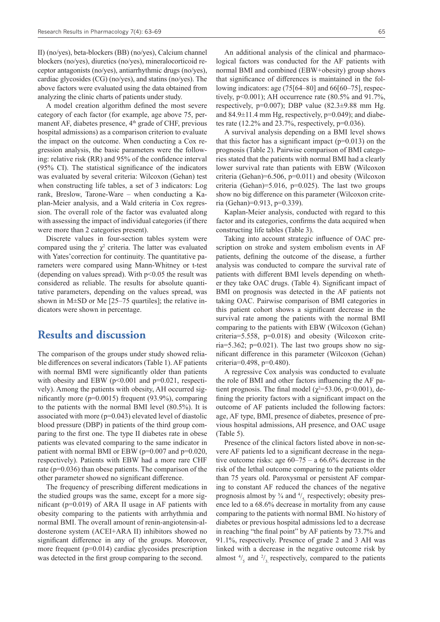II) (no/yes), beta-blockers (BB) (no/yes), Calcium channel blockers (no/yes), diuretics (no/yes), mineralocorticoid receptor antagonists (no/yes), antiarrhythmic drugs (no/yes), cardiac glycosides (CG) (no/yes), and statins (no/yes). The above factors were evaluated using the data obtained from analyzing the clinic charts of patients under study.

A model creation algorithm defined the most severe category of each factor (for example, age above 75, permanent AF, diabetes presence,  $4<sup>th</sup>$  grade of CHF, previous hospital admissions) as a comparison criterion to evaluate the impact on the outcome. When conducting a Cox regression analysis, the basic parameters were the following: relative risk (RR) and 95% of the confidence interval (95% CI). The statistical significance of the indicators was evaluated by several criteria: Wilcoxon (Gehan) test when constructing life tables, a set of 3 indicators: Log rank, Breslow, Tarone-Ware – when conducting a Kaplan-Meier analysis, and a Wald criteria in Cox regression. The overall role of the factor was evaluated along with assessing the impact of individual categories (if there were more than 2 categories present).

Discrete values in four-section tables system were compared using the  $\chi^2$  criteria. The latter was evaluated with Yates'correction for continuity. The quantitative parameters were compared using Mann-Whitney or t-test (depending on values spread). With  $p<0.05$  the result was considered as reliable. The results for absolute quantitative parameters, depending on the values spread, was shown in M $\pm$ SD or Me [25–75 quartiles]; the relative indicators were shown in percentage.

#### **Results and discussion**

The comparison of the groups under study showed reliable differences on several indicators (Table 1). AF patients with normal BMI were significantly older than patients with obesity and EBW ( $p<0.001$  and  $p=0.021$ , respectively). Among the patients with obesity, AH occurred significantly more (p=0.0015) frequent (93.9%), comparing to the patients with the normal BMI level (80.5%). It is associated with more  $(p=0.043)$  elevated level of diastolic blood pressure (DBP) in patients of the third group comparing to the first one. The type II diabetes rate in obese patients was elevated comparing to the same indicator in patient with normal BMI or EBW ( $p=0.007$  and  $p=0.020$ , respectively). Patients with EBW had a more rare CHF rate (p=0.036) than obese patients. The comparison of the other parameter showed no significant difference.

The frequency of prescribing different medications in the studied groups was the same, except for a more significant ( $p=0.019$ ) of ARA II usage in AF patients with obesity comparing to the patients with arrhythmia and normal BMI. The overall amount of renin-angiotensin-aldosterone system (ACEI+ARA II) inhibitors showed no significant difference in any of the groups. Moreover, more frequent  $(p=0.014)$  cardiac glycosides prescription was detected in the first group comparing to the second.

An additional analysis of the clinical and pharmacological factors was conducted for the AF patients with normal BMI and combined (EBW+obesity) group shows that significance of differences is maintained in the following indicators: age (75[64–80] and 66[60–75], respectively,  $p<0.001$ ); AH occurrence rate (80.5% and 91.7%, respectively,  $p=0.007$ ); DBP value  $(82.3\pm9.88$  mm Hg. and  $84.9\pm11.4$  mm Hg, respectively,  $p=0.049$ ); and diabetes rate (12.2% and 23.7%, respectively,  $p=0.036$ ).

A survival analysis depending on a BMI level shows that this factor has a significant impact  $(p=0.013)$  on the prognosis (Table 2). Pairwise comparison of BMI categories stated that the patients with normal BMI had a clearly lower survival rate than patients with EBW (Wilcoxon criteria (Gehan)=6.506,  $p=0.011$ ) and obesity (Wilcoxon criteria (Gehan)=5.016,  $p=0.025$ ). The last two groups show no big difference on this parameter (Wilcoxon criteria (Gehan)=0.913, p=0.339).

Kaplan-Meier analysis, conducted with regard to this factor and its categories, confirms the data acquired when constructing life tables (Table 3).

Taking into account strategic influence of OAC prescription on stroke and system embolism events in AF patients, defining the outcome of the disease, a further analysis was conducted to compare the survival rate of patients with different BMI levels depending on whether they take OAC drugs. (Table 4). Significant impact of BMI on prognosis was detected in the AF patients not taking OAC. Pairwise comparison of BMI categories in this patient cohort shows a significant decrease in the survival rate among the patients with the normal BMI comparing to the patients with EBW (Wilcoxon (Gehan) criteria=5.558, p=0.018) and obesity (Wilcoxon criteria=5.362;  $p=0.021$ ). The last two groups show no significant difference in this parameter (Wilcoxon (Gehan) criteria= $0.498$ , p= $0.480$ ).

A regressive Cox analysis was conducted to evaluate the role of BMI and other factors influencing the AF patient prognosis. The final model ( $\chi^2$ =53.06, p<0.001), defining the priority factors with a significant impact on the outcome of AF patients included the following factors: age, AF type, BMI, presence of diabetes, presence of previous hospital admissions, AH presence, and OAC usage (Table 5).

Presence of the clinical factors listed above in non-severe AF patients led to a significant decrease in the negative outcome risks: age  $60-75 - a 66.6\%$  decrease in the risk of the lethal outcome comparing to the patients older than 75 years old. Paroxysmal or persistent AF comparing to constant AF reduced the chances of the negative prognosis almost by  $\frac{3}{4}$  and  $\frac{4}{5}$ , respectively; obesity presence led to a 68.6% decrease in mortality from any cause comparing to the patients with normal BMI. No history of diabetes or previous hospital admissions led to a decrease in reaching "the final point" by AF patients by 73.7% and 91.1%, respectively. Presence of grade 2 and 3 AH was linked with a decrease in the negative outcome risk by almost  $\frac{4}{5}$  and  $\frac{2}{3}$  respectively, compared to the patients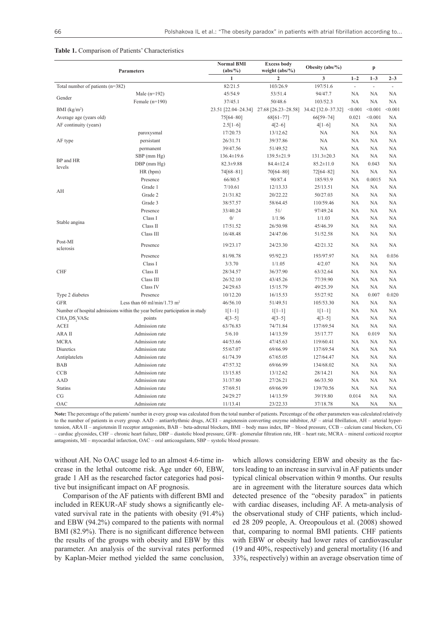#### **Table 1.** Comparison of Patients' Characteristics

| <b>Parameters</b>                  |                                                                             | <b>Normal BMI</b><br>$(abs/\%)$ | <b>Excess body</b><br>Obesity $(abs/\%)$<br>weight $(abs/\%)$ |                    |                | p             |           |
|------------------------------------|-----------------------------------------------------------------------------|---------------------------------|---------------------------------------------------------------|--------------------|----------------|---------------|-----------|
|                                    |                                                                             | $\mathbf{1}$                    | $\overline{2}$                                                | 3                  | $1 - 2$        | $1 - 3$       | $2 - 3$   |
| Total number of patients $(n=382)$ |                                                                             | 82/21.5                         | 103/26.9                                                      | 197/51.6           | $\overline{a}$ | $\mathcal{L}$ | ä,        |
|                                    | Male $(n=192)$                                                              | 45/54.9                         | 53/51.4                                                       | 94/47.7            | NA             | NA            | <b>NA</b> |
| Gender                             | Female $(n=190)$                                                            | 37/45.1                         | 50/48.6                                                       | 103/52.3           | NA             | NA            | <b>NA</b> |
| BMI (kg/m <sup>2</sup> )           |                                                                             | 23.51 [22.04-24.34]             | 27.68 [26.23-28.58]                                           | 34.42 [32.0-37.32] | < 0.001        | < 0.001       | < 0.001   |
| Average age (years old)            |                                                                             | 75[64-80]                       | 68[61-77]                                                     | 66[59-74]          | 0.021          | < 0.001       | <b>NA</b> |
| AF continuity (years)              |                                                                             | $2.5[1-6]$                      | $4[2-6]$                                                      | $4[1-6]$           | <b>NA</b>      | NA            | <b>NA</b> |
|                                    | paroxysmal                                                                  | 17/20.73                        | 13/12.62                                                      | NA                 | NA             | NA            | NA        |
| AF type                            | persistant                                                                  | 26/31.71                        | 39/37.86                                                      | NA                 | NA             | NA            | <b>NA</b> |
|                                    | permanent                                                                   | 39/47.56                        | 51/49.52                                                      | NA                 | NA             | NA            | NA        |
|                                    | SBP (mm Hg)                                                                 | $136.4 \pm 19.6$                | 139.5±21.9                                                    | $131.3 \pm 20.3$   | NA             | NA            | <b>NA</b> |
| BP and HR<br>levels                | $DBP$ (mm $Hg$ )                                                            | $82.3 \pm 9.88$                 | 84.4±12.4                                                     | $85.2 \pm 11.0$    | NA             | 0.043         | NA        |
|                                    | HR (bpm)                                                                    | 74[68-81]                       | 70[64-80]                                                     | 72[64-82]          | NA             | NA            | NA        |
|                                    | Presence                                                                    | 66/80.5                         | 90/87.4                                                       | 185/93.9           | NA             | 0.0015        | NA        |
|                                    | Grade 1                                                                     | 7/10.61                         | 12/13.33                                                      | 25/13.51           | NA             | NA            | NA        |
| AH                                 | Grade 2                                                                     | 21/31.82                        | 20/22.22                                                      | 50/27.03           | NA             | NA            | NA        |
|                                    | Grade 3                                                                     | 38/57.57                        | 58/64.45                                                      | 110/59.46          | NA             | NA            | NA        |
|                                    | Presence                                                                    | 33/40.24                        | 51/                                                           | 97/49.24           | NA             | NA            | NA        |
|                                    | Class I                                                                     | $0/$                            | 1/1.96                                                        | 1/1.03             | NA             | NA            | NA        |
| Stable angina                      | Class II                                                                    | 17/51.52                        | 26/50.98                                                      | 45/46.39           | NA             | NA            | NA        |
|                                    | Class III                                                                   | 16/48.48                        | 24/47.06                                                      | 51/52.58           | NA             | NA            | NA        |
| Post-MI<br>sclerosis               | Presence                                                                    | 19/23.17                        | 24/23.30                                                      | 42/21.32           | NA             | NA            | NA        |
|                                    | Presence                                                                    | 81/98.78                        | 95/92.23                                                      | 193/97.97          | NA             | NA            | 0.036     |
|                                    | Class I                                                                     | 3/3.70                          | 1/1.05                                                        | 4/2.07             | NA             | NA            | NA        |
| <b>CHF</b>                         | Class II                                                                    | 28/34.57                        | 36/37.90                                                      | 63/32.64           | NA             | NA            | NA        |
|                                    | Class III                                                                   | 26/32.10                        | 43/45.26                                                      | 77/39.90           | NA             | NA            | NA        |
|                                    | Class IV                                                                    | 24/29.63                        | 15/15.79                                                      | 49/25.39           | NA             | NA            | NA        |
| Type 2 diabetes                    | Presence                                                                    | 10/12.20                        | 16/15.53                                                      | 55/27.92           | NA             | 0.007         | 0.020     |
| <b>GFR</b>                         | Less than 60 ml/min/1.73 m <sup>2</sup>                                     | 46/56.10                        | 51/49.51                                                      | 105/53.30          | NA             | NA            | NA        |
|                                    | Number of hospital admissions within the year before participation in study | $1[1-1]$                        | $1[1-1]$                                                      | $1[1-1]$           | NA             | NA            | NA        |
| CHA, DS, VASc                      | points                                                                      | $4[3-5]$                        | $4[3-5]$                                                      | $4[3-5]$           | NA             | NA            | NA        |
| ACEI                               | Admission rate                                                              | 63/76.83                        | 74/71.84                                                      | 137/69.54          | NA             | NA            | NA        |
| ARA II                             | Admission rate                                                              | 5/6.10                          | 14/13.59                                                      | 35/17.77           | NA             | 0.019         | NA        |
| <b>MCRA</b>                        | Admission rate                                                              | 44/53.66                        | 47/45.63                                                      | 119/60.41          | NA             | NA            | NA        |
| Diuretics                          | Admission rate                                                              | 55/67.07                        | 69/66.99                                                      | 137/69.54          | NA             | NA            | NA        |
| Antiplatelets                      | Admission rate                                                              | 61/74.39                        | 67/65.05                                                      | 127/64.47          | NA             | NA            | NA        |
| <b>BAB</b>                         | Admission rate                                                              | 47/57.32                        | 69/66.99                                                      | 134/68.02          | NA             | NA            | NA        |
| CCB                                | Admission rate                                                              | 13/15.85                        | 13/12.62                                                      | 28/14.21           | NA             | NA            | NA        |
| AAD                                | Admission rate                                                              | 31/37.80                        | 27/26.21                                                      | 66/33.50           | NA             | NA            | <b>NA</b> |
| <b>Statins</b>                     | Admission rate                                                              | 57/69.51                        | 69/66.99                                                      | 139/70.56          | NA             | NA            | <b>NA</b> |
| CG                                 | Admission rate                                                              | 24/29.27                        | 14/13.59                                                      | 39/19.80           | 0.014          | NA            | <b>NA</b> |
| OAC                                | Admission rate                                                              | 11/13.41                        | 23/22.33                                                      | 37/18.78           | NA             | NA            | <b>NA</b> |

**Note:** The percentage of the patients' number in every group was calculated from the total number of patients. Percentage of the other parameters was calculated relatively to the number of patients in every group. AAD – antiarrhythmic drugs, ACEI – angiotensin converting enzyme inhibitor, AF – atrial fibrillation, AH – arterial hypertension, ARA II – angiotensin II receptor antagonists, BAB – beta-adrenal blockers, BMI – body mass index, BP – blood pressure, CCB – calcium canal blockers, CG – cardiac glycosides, CHF – chronic heart failure, DBP – diastolic blood pressure, GFR– glomerular filtration rate, HR – heart rate, MCRA – mineral corticoid receptor antagonists, MI – myocardial infarction, OAC – oral anticoagulants, SBP – systolic blood pressure.

without AH. No OAC usage led to an almost 4.6-time increase in the lethal outcome risk. Age under 60, EBW, grade 1 AH as the researched factor categories had positive but insignificant impact on AF prognosis.

Comparison of the AF patients with different BMI and included in REKUR-AF study shows a significantly elevated survival rate in the patients with obesity (91.4%) and EBW (94.2%) compared to the patients with normal BMI (82.9%). There is no significant difference between the results of the groups with obesity and EBW by this parameter. An analysis of the survival rates performed by Kaplan-Meier method yielded the same conclusion,

which allows considering EBW and obesity as the factors leading to an increase in survival in AF patients under typical clinical observation within 9 months. Our results are in agreement with the literature sources data which detected presence of the "obesity paradox" in patients with cardiac diseases, including AF. A meta-analysis of the observational study of CHF patients, which included 28 209 people, А. Oreopoulous et al. (2008) showed that, comparing to normal BMI patients. CHF patients with EBW or obesity had lower rates of cardiovascular (19 and 40%, respectively) and general mortality (16 and 33%, respectively) within an average observation time of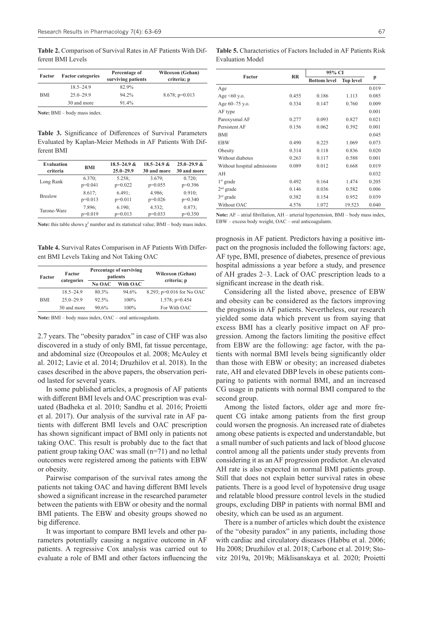**Table 2.** Comparison of Survival Rates in AF Patients With Different BMI Levels

| Factor     | <b>Factor categories</b> | Percentage of<br>surviving patients | <b>Wilcoxon (Gehan)</b><br>criteria; p |  |  |
|------------|--------------------------|-------------------------------------|----------------------------------------|--|--|
|            | $18.5 - 24.9$            | 82.9%                               |                                        |  |  |
| <b>BMI</b> | $25.0 - 29.9$            | 94.2%                               | $8.678$ ; p=0.013                      |  |  |
|            | 30 and more              | 91.4%                               |                                        |  |  |
|            |                          |                                     |                                        |  |  |

**Note:** BMI – body mass index.

**Table 3.** Significance of Differences of Survival Parameters Evaluated by Kaplan-Meier Methods in AF Patients With Different BMI

| <b>Evaluation</b> | <b>BMI</b> | $18.5 - 24.9$ & | $18.5 - 24.9$ & | $25.0 - 29.9$ & |
|-------------------|------------|-----------------|-----------------|-----------------|
| criteria          |            | $25.0 - 29.9$   | 30 and more     | 30 and more     |
| Long Rank         | 6.370:     | 5.258:          | 3.679:          | 0.720:          |
|                   | $p=0.041$  | $p=0.022$       | $p=0.055$       | $p=0.396$       |
| <b>Breslow</b>    | 8.617:     | 6.491:          | 4.986:          | 0.910:          |
|                   | $p=0.013$  | $p=0.011$       | $p=0.026$       | $p=0.340$       |
| Tarone-Ware       | 7.896;     | 6.190;          | 4.532;          | 0.873;          |
|                   | $p=0.019$  | $p=0.013$       | $p=0.033$       | $p=0.350$       |

**Note:** this table shows  $\chi^2$  number and its statistical value; BMI – body mass index.

**Table 4.** Survival Rates Comparison in AF Patients With Different BMI Levels Taking and Not Taking OAC

| Factor     | Factor               |       | Percentage of surviving<br>patients | <b>Wilcoxon (Gehan)</b>     |  |
|------------|----------------------|-------|-------------------------------------|-----------------------------|--|
|            | categories<br>No OAC |       | With OAC                            | criteria; p                 |  |
|            | $18.5 - 24.9$        | 80.3% | 94.6%                               | 8.293; $p=0.016$ for No OAC |  |
| <b>BMI</b> | $25.0 - 29.9$        | 92.5% | $100\%$                             | 1.578; $p=0.454$            |  |
|            | 30 and more          | 90.6% | $100\%$                             | For With OAC                |  |
|            |                      |       |                                     |                             |  |

Note: BMI – body mass index, OAC – oral anticoagulants.

2.7 years. The "obesity paradox" in case of CHF was also discovered in a study of only BMI, fat tissue percentage, and abdominal size (Oreopoulos et al. 2008; McAuley et al. 2012; Lavie et al. 2014; Druzhilov et al. 2018). In the cases described in the above papers, the observation period lasted for several years.

In some published articles, a prognosis of AF patients with different BMI levels and OAC prescription was evaluated (Badheka et al. 2010; Sandhu et al. 2016; Proietti et al. 2017). Our analysis of the survival rate in AF patients with different BMI levels and OAC prescription has shown significant impact of BMI only in patients not taking OAC. This result is probably due to the fact that patient group taking OAC was small (n=71) and no lethal outcomes were registered among the patients with EBW or obesity.

Pairwise comparison of the survival rates among the patients not taking OAC and having different BMI levels showed a significant increase in the researched parameter between the patients with EBW or obesity and the normal BMI patients. The EBW and obesity groups showed no big difference.

It was important to compare BMI levels and other parameters potentially causing a negative outcome in AF patients. A regressive Cox analysis was carried out to evaluate a role of BMI and other factors influencing the

**Table 5.** Characteristics of Factors Included in AF Patients Risk Evaluation Model

| Factor                      | RR    | 95% CI              |                  |       |  |
|-----------------------------|-------|---------------------|------------------|-------|--|
|                             |       | <b>Bottom level</b> | <b>Top level</b> | p     |  |
| Age                         |       |                     |                  | 0.019 |  |
| Age $\leq 60$ y.o.          | 0.455 | 0.186               | 1.113            | 0.085 |  |
| Age 60-75 y.o.              | 0.334 | 0.147               | 0.760            | 0.009 |  |
| AF type                     |       |                     |                  | 0.001 |  |
| Paroxysmal AF               | 0.277 | 0.093               | 0.827            | 0.021 |  |
| Persistent AF               | 0.156 | 0.062               | 0.392            | 0.001 |  |
| BMI                         |       |                     |                  | 0.045 |  |
| <b>EBW</b>                  | 0.490 | 0.225               | 1.069            | 0.073 |  |
| Obesity                     | 0.314 | 0.118               | 0.836            | 0.020 |  |
| Without diabetes            | 0.263 | 0.117               | 0.588            | 0.001 |  |
| Without hospital admissions | 0.089 | 0.012               | 0.668            | 0.019 |  |
| AH                          |       |                     |                  | 0.032 |  |
| $1st$ grade                 | 0.492 | 0.164               | 1.474            | 0.205 |  |
| $2nd$ grade                 | 0.146 | 0.036               | 0.582            | 0.006 |  |
| $3rd$ grade                 | 0.382 | 0.154               | 0.952            | 0.039 |  |
| Without OAC                 | 4.576 | 1.072               | 19.523           | 0.040 |  |
|                             |       |                     |                  |       |  |

**Note:** AF – atrial fibrillation, AH – arterial hypertension, BMI – body mass index, EBW – excess body weight, OAC – oral anticoagulants.

prognosis in AF patient. Predictors having a positive impact on the prognosis included the following factors: age, AF type, BMI, presence of diabetes, presence of previous hospital admissions a year before a study, and presence of AH grades 2–3. Lack of OAC prescription leads to a significant increase in the death risk.

Considering all the listed above, presence of EBW and obesity can be considered as the factors improving the prognosis in AF patients. Nevertheless, our research yielded some data which prevent us from saying that excess BMI has a clearly positive impact on AF progression. Among the factors limiting the positive effect from EBW are the following: age factor, with the patients with normal BMI levels being significantly older than those with EBW or obesity; an increased diabetes rate, AH and elevated DBP levels in obese patients comparing to patients with normal BMI, and an increased CG usage in patients with normal BMI compared to the second group.

Among the listed factors, older age and more frequent CG intake among patients from the first group could worsen the prognosis. An increased rate of diabetes among obese patients is expected and understandable, but a small number of such patients and lack of blood glucose control among all the patients under study prevents from considering it as an AF progression predictor. An elevated AH rate is also expected in normal BMI patients group. Still that does not explain better survival rates in obese patients. There is a good level of hypotensive drug usage and relatable blood pressure control levels in the studied groups, excluding DBP in patients with normal BMI and obesity, which can be used as an argument.

There is a number of articles which doubt the existence of the "obesity paradox" in any patients, including those with cardiac and circulatory diseases (Habbu et al. 2006; Hu 2008; Druzhilov et al. 2018; Carbone et al. 2019; Stovitz 2019a, 2019b; Miklisanskaya et al. 2020; Proietti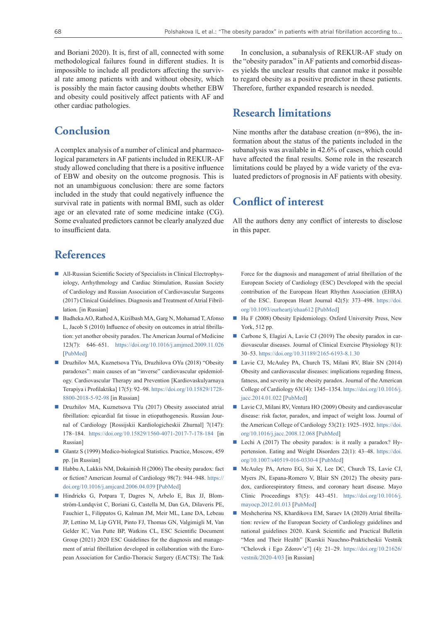and Boriani 2020). It is, first of all, connected with some methodological failures found in different studies. It is impossible to include all predictors affecting the survival rate among patients with and without obesity, which is possibly the main factor causing doubts whether EBW and obesity could positively affect patients with AF and other cardiac pathologies.

### **Conclusion**

A complex analysis of a number of clinical and pharmacological parameters in AF patients included in REKUR-AF study allowed concluding that there is a positive influence of EBW and obesity on the outcome prognosis. This is not an unambiguous conclusion: there are some factors included in the study that could negatively influence the survival rate in patients with normal BMI, such as older age or an elevated rate of some medicine intake (CG). Some evaluated predictors cannot be clearly analyzed due to insufficient data.

### **References**

- All-Russian Scientific Society of Specialists in Clinical Electrophysiology, Arrhythmology and Cardiac Stimulation, Russian Society of Cardiology and Russian Association of Cardiovascular Surgeons (2017) Сlinical Guidelines. Diagnosis and Treatment of Atrial Fibrillation. [in Russian]
- Badheka AO, Rathod A, Kizilbash MA, Garg N, Mohamad T, Afonso L, Jacob S (2010) Influence of obesity on outcomes in atrial fibrillation: yet another obesity paradox. The American Journal of Medicine 123(7): 646–651. <https://doi.org/10.1016/j.amjmed.2009.11.026> [[PubMed\]](https://pubmed.ncbi.nlm.nih.gov/20609687/)
- Druzhilov MA, Kuznetsova TYu, Druzhilova OYu (2018) "Obesity paradoxes": main causes of an "inverse" cardiovascular epidemiology. Cardiovascular Therapy and Prevention [Kardiovaskulyarnaya Terapiya i Profilaktika] 17(5): 92–98. [https://doi.org/10.15829/1728-](https://doi.org/10.15829/1728-8800-2018-5-92-98) [8800-2018-5-92-98](https://doi.org/10.15829/1728-8800-2018-5-92-98) [in Russian]
- Druzhilov MA, Kuznetsova TYu (2017) Obesity associated atrial fibrillation: epicardial fat tissue in etiopathogenesis. Russian Journal of Cardiology [Rossijskii Kardiologicheskii Zhurnal] 7(147): 178–184. <https://doi.org/10.15829/1560-4071-2017-7-178-184>[in Russian]
- Glantz S (1999) Medico-biological Statistics. Practice, Moscow, 459 pp. [in Russian]
- $\blacksquare$  Habbu A, Lakkis NM, Dokainish H (2006) The obesity paradox: fact or fiction? American Journal of Cardiology 98(7): 944–948. [https://](https://doi.org/10.1016/j.amjcard.2006.04.039) [doi.org/10.1016/j.amjcard.2006.04.039](https://doi.org/10.1016/j.amjcard.2006.04.039) [[PubMed\]](https://pubmed.ncbi.nlm.nih.gov/16996880/)
- Hindricks G, Potpara T, Dagres N, Arbelo E, Bax JJ, Blomström-Lundqvist C, Boriani G, Castella M, Dan GA, Dilaveris PE, Fauchier L, Filippatos G, Kalman JM, Meir ML, Lane DA, Lebeau JP, Lettino M, Lip GYH, Pinto FJ, Thomas GN, Valgimigli M, Van Gelder IC, Van Putte BP, Watkins CL, ESC Scientific Document Group (2021) 2020 ESC Guidelines for the diagnosis and management of atrial fibrillation developed in collaboration with the European Association for Cardio-Thoracic Surgery (EACTS): The Task

In conclusion, a subanalysis of REKUR-AF study on the "obesity paradox" in AF patients and comorbid diseases yields the unclear results that cannot make it possible to regard obesity as a positive predictor in these patients. Therefore, further expanded research is needed.

#### **Research limitations**

Nine months after the database creation (n=896), the information about the status of the patients included in the subanalysis was available in 42.6% of cases, which could have affected the final results. Some role in the research limitations could be played by a wide variety of the evaluated predictors of prognosis in AF patients with obesity.

### **Conflict of interest**

All the authors deny any conflict of interests to disclose in this paper.

Force for the diagnosis and management of atrial fibrillation of the European Society of Cardiology (ESC) Developed with the special contribution of the European Heart Rhythm Association (EHRA) of the ESC. European Heart Journal 42(5): 373–498. [https://doi.](https://doi.org/10.1093/eurheartj/ehaa612) [org/10.1093/eurheartj/ehaa612](https://doi.org/10.1093/eurheartj/ehaa612) [\[PubMed](https://pubmed.ncbi.nlm.nih.gov/32860505/)]

- Hu F (2008) Obesity Epidemiology. Oxford University Press, New York, 512 pp.
- Carbone S, Elagizi A, Lavie CJ (2019) The obesity paradox in cardiovascular diseases. Journal of Clinical Exercise Physiology 8(1): 30–53.<https://doi.org/10.31189/2165-6193-8.1.30>
- Lavie CJ, McAuley PA, Church TS, Milani RV, Blair SN (2014) Obesity and cardiovascular diseases: implications regarding fitness, fatness, and severity in the obesity paradox. Journal of the American College of Cardiology 63(14): 1345–1354. [https://doi.org/10.1016/j.](https://doi.org/10.1016/j.jacc.2014.01.022) [jacc.2014.01.022](https://doi.org/10.1016/j.jacc.2014.01.022) [[PubMed\]](https://pubmed.ncbi.nlm.nih.gov/24530666/)
- Lavie CJ, Milani RV, Ventura HO (2009) Obesity and cardiovascular disease: risk factor, paradox, and impact of weight loss. Journal of the American College of Cardiology 53(21): 1925–1932. [https://doi.](https://doi.org/10.1016/j.jacc.2008.12.068) [org/10.1016/j.jacc.2008.12.068](https://doi.org/10.1016/j.jacc.2008.12.068) [\[PubMed](https://pubmed.ncbi.nlm.nih.gov/19460605/)]
- Lechi A (2017) The obesity paradox: is it really a paradox? Hypertension. Eating and Weight Disorders 22(1): 43–48. [https://doi.](https://doi.org/10.1007/s40519-016-0330-4) [org/10.1007/s40519-016-0330-4](https://doi.org/10.1007/s40519-016-0330-4) [\[PubMed](https://pubmed.ncbi.nlm.nih.gov/27812911/)]
- McAuley PA, Artero EG, Sui X, Lee DC, Church TS, Lavie CJ, Myers JN, Espana-Romero V, Blair SN (2012) The obesity paradox, cardiorespiratory fitness, and coronary heart disease. Mayo Clinic Proceedings 87(5): 443–451. [https://doi.org/10.1016/j.](https://doi.org/1 0.1016/j.mayocp.2012.01.013) [mayocp.2012.01.013](https://doi.org/1 0.1016/j.mayocp.2012.01.013) [\[PubMed](https://pubmed.ncbi.nlm.nih.gov/22503065/)]
- Meshcherina NS, Khardikova EM, Saraev IA (2020) Atrial fibrillation: review of the European Society of Cardiology guidelines and national guidelines 2020. Kursk Scientific and Practical Bulletin "Men and Their Health" [Kurskii Nauchno-Prakticheskii Vestnik "Chelovek i Ego Zdorov'e"] (4): 21–29. [https://doi.org/10.21626/](https://doi.org/10.21626/vestnik/2020-4/03) [vestnik/2020-4/03](https://doi.org/10.21626/vestnik/2020-4/03) [in Russian]